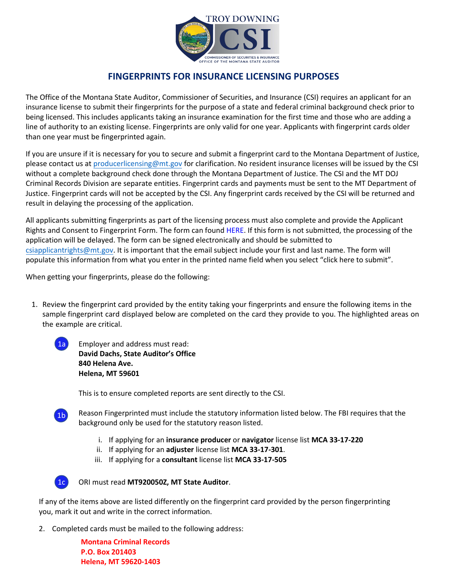

## **FINGERPRINTS FOR INSURANCE LICENSING PURPOSES**

The Office of the Montana State Auditor, Commissioner of Securities, and Insurance (CSI) requires an applicant for an insurance license to submit their fingerprints for the purpose of a state and federal criminal background check prior to being licensed. This includes applicants taking an insurance examination for the first time and those who are adding a line of authority to an existing license. Fingerprints are only valid for one year. Applicants with fingerprint cards older than one year must be fingerprinted again.

If you are unsure if it is necessary for you to secure and submit a fingerprint card to the Montana Department of Justice, please contact us at [producerlicensing@mt.gov](mailto:producerlicensing@mt.gov) for clarification. No resident insurance licenses will be issued by the CSI without a complete background check done through the Montana Department of Justice. The CSI and the MT DOJ Criminal Records Division are separate entities. Fingerprint cards and payments must be sent to the MT Department of Justice. Fingerprint cards will not be accepted by the CSI. Any fingerprint cards received by the CSI will be returned and result in delaying the processing of the application.

All applicants submitting fingerprints as part of the licensing process must also complete and provide the Applicant Rights and Consent to Fingerprint Form. The form can found [HERE](https://csimt.gov/wp-content/uploads/fingerprint-rights-and-consent-form_custom-subject-field_4.22.pdf). If this form is not submitted, the processing of the application will be delayed. The form can be signed electronically and should be submitted to [csiapplicantrights@mt.gov.](mailto:csiapplicantrights@mt.gov) It is important that the email subject include your first and last name. The form will populate this information from what you enter in the printed name field when you select "click here to submit".

When getting your fingerprints, please do the following:

- 1. Review the fingerprint card provided by the entity taking your fingerprints and ensure the following items in the sample fingerprint card displayed below are completed on the card they provide to you. The highlighted areas on the example are critical.
	- 1a

Employer and address must read: **David Dachs, State Auditor's Office 840 Helena Ave. Helena, MT 59601** 

This is to ensure completed reports are sent directly to the CSI.



Reason Fingerprinted must include the statutory information listed below. The FBI requires that the background only be used for the statutory reason listed.

- i. If applying for an **insurance producer** or **navigator** license list **MCA 33-17-220**
- ii. If applying for an **adjuster** license list **MCA 33-17-301**.
- iii. If applying for a **consultant** license list **MCA 33-17-505**



ORI must read **MT920050Z, MT State Auditor**.

If any of the items above are listed differently on the fingerprint card provided by the person fingerprinting you, mark it out and write in the correct information.

2. Completed cards must be mailed to the following address:

**Montana Criminal Records P.O. Box 201403 Helena, MT 59620-1403**